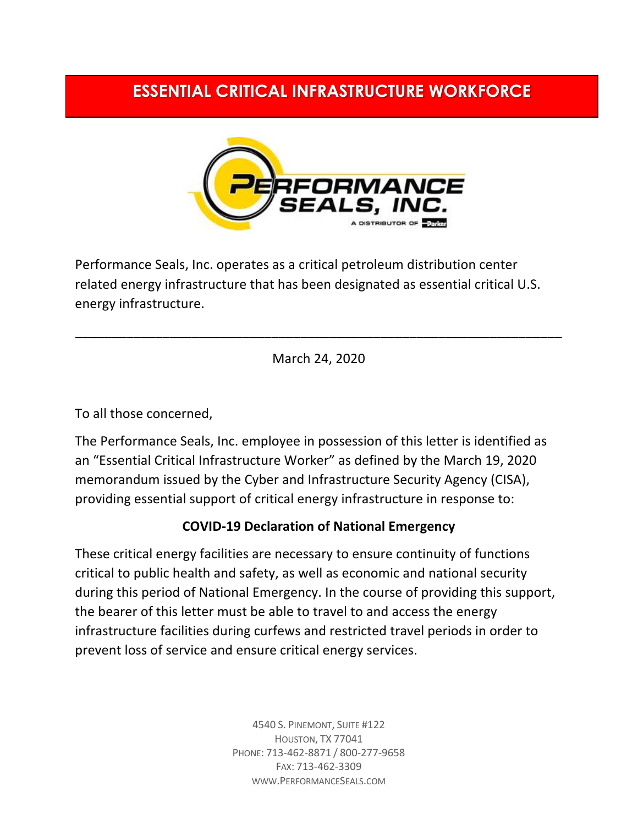## **ESSENTIAL CRITICAL INFRASTRUCTURE WORKFORCE**



Performance Seals, Inc. operates as a critical petroleum distribution center related energy infrastructure that has been designated as essential critical U.S. energy infrastructure.

March 24, 2020

\_\_\_\_\_\_\_\_\_\_\_\_\_\_\_\_\_\_\_\_\_\_\_\_\_\_\_\_\_\_\_\_\_\_\_\_\_\_\_\_\_\_\_\_\_\_\_\_\_\_\_\_\_\_\_\_\_\_\_\_\_\_\_\_\_\_\_

To all those concerned,

The Performance Seals, Inc. employee in possession of this letter is identified as an "Essential Critical Infrastructure Worker" as defined by the March 19, 2020 memorandum issued by the Cyber and Infrastructure Security Agency (CISA), providing essential support of critical energy infrastructure in response to:

## **COVID-19 Declaration of National Emergency**

These critical energy facilities are necessary to ensure continuity of functions critical to public health and safety, as well as economic and national security during this period of National Emergency. In the course of providing this support, the bearer of this letter must be able to travel to and access the energy infrastructure facilities during curfews and restricted travel periods in order to prevent loss of service and ensure critical energy services.

> 4540 S. PINEMONT, SUITE #122 HOUSTON, TX 77041 PHONE: 713-462-8871 / 800-277-9658 FAX: 713-462-3309 WWW.PERFORMANCESEALS.COM